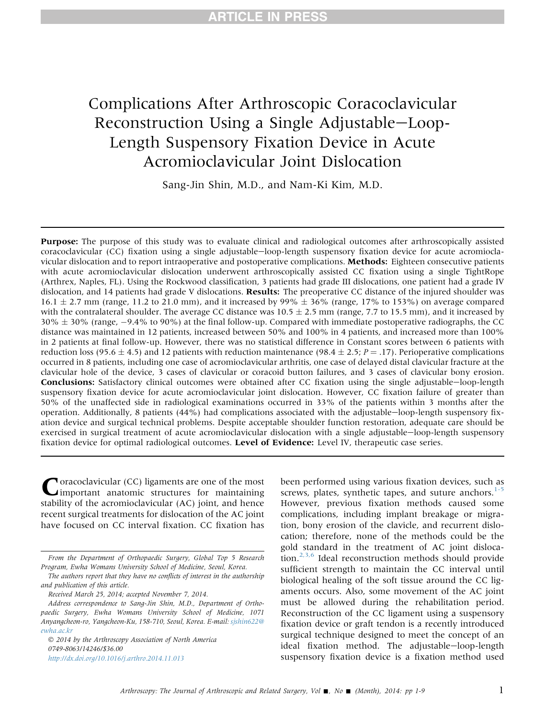# Complications After Arthroscopic Coracoclavicular Reconstruction Using a Single Adjustable-Loop-Length Suspensory Fixation Device in Acute Acromioclavicular Joint Dislocation

Sang-Jin Shin, M.D., and Nam-Ki Kim, M.D.

Purpose: The purpose of this study was to evaluate clinical and radiological outcomes after arthroscopically assisted  $corrocclavicular (CC) fixation using a single adjustable–loop-length suspensory fixation device for acute acromioded.$ vicular dislocation and to report intraoperative and postoperative complications. Methods: Eighteen consecutive patients with acute acromioclavicular dislocation underwent arthroscopically assisted CC fixation using a single TightRope (Arthrex, Naples, FL). Using the Rockwood classification, 3 patients had grade III dislocations, one patient had a grade IV dislocation, and 14 patients had grade V dislocations. **Results:** The preoperative CC distance of the injured shoulder was  $16.1 \pm 2.7$  mm (range, 11.2 to 21.0 mm), and it increased by 99%  $\pm$  36% (range, 17% to 153%) on average compared with the contralateral shoulder. The average CC distance was  $10.5 \pm 2.5$  mm (range, 7.7 to 15.5 mm), and it increased by  $30\% \pm 30\%$  (range,  $-9.4\%$  to 90%) at the final follow-up. Compared with immediate postoperative radiographs, the CC distance was maintained in 12 patients, increased between 50% and 100% in 4 patients, and increased more than 100% in 2 patients at final follow-up. However, there was no statistical difference in Constant scores between 6 patients with reduction loss (95.6  $\pm$  4.5) and 12 patients with reduction maintenance (98.4  $\pm$  2.5; P = .17). Perioperative complications occurred in 8 patients, including one case of acromioclavicular arthritis, one case of delayed distal clavicular fracture at the clavicular hole of the device, 3 cases of clavicular or coracoid button failures, and 3 cases of clavicular bony erosion. Conclusions: Satisfactory clinical outcomes were obtained after CC fixation using the single adjustable-loop-length suspensory fixation device for acute acromioclavicular joint dislocation. However, CC fixation failure of greater than 50% of the unaffected side in radiological examinations occurred in 33% of the patients within 3 months after the operation. Additionally, 8 patients  $(44%)$  had complications associated with the adjustable-loop-length suspensory fixation device and surgical technical problems. Despite acceptable shoulder function restoration, adequate care should be exercised in surgical treatment of acute acromioclavicular dislocation with a single adjustable-loop-length suspensory fixation device for optimal radiological outcomes. Level of Evidence: Level IV, therapeutic case series.

Coracoclavicular (CC) ligaments are one of the most<br>important anatomic structures for maintaining stability of the acromioclavicular (AC) joint, and hence recent surgical treatments for dislocation of the AC joint have focused on CC interval fixation. CC fixation has

The authors report that they have no conflicts of interest in the authorship and publication of this article.

 2014 by the Arthroscopy Association of North America 0749-8063/14246/\$36.00 <http://dx.doi.org/10.1016/j.arthro.2014.11.013>

been performed using various fixation devices, such as screws, plates, synthetic tapes, and suture anchors. $1-5$ However, previous fixation methods caused some complications, including implant breakage or migration, bony erosion of the clavicle, and recurrent dislocation; therefore, none of the methods could be the gold standard in the treatment of AC joint dislocation. $2,3,6$  Ideal reconstruction methods should provide sufficient strength to maintain the CC interval until biological healing of the soft tissue around the CC ligaments occurs. Also, some movement of the AC joint must be allowed during the rehabilitation period. Reconstruction of the CC ligament using a suspensory fixation device or graft tendon is a recently introduced surgical technique designed to meet the concept of an ideal fixation method. The adjustable-loop-length suspensory fixation device is a fixation method used

From the Department of Orthopaedic Surgery, Global Top 5 Research Program, Ewha Womans University School of Medicine, Seoul, Korea.

Received March 25, 2014; accepted November 7, 2014.

Address correspondence to Sang-Jin Shin, M.D., Department of Orthopaedic Surgery, Ewha Womans University School of Medicine, 1071 Anyangcheon-ro, Yangcheon-Ku, 158-710, Seoul, Korea. E-mail: [sjshin622@](mailto:sjshin622@ewha.ac.kr) [ewha.ac.kr](mailto:sjshin622@ewha.ac.kr)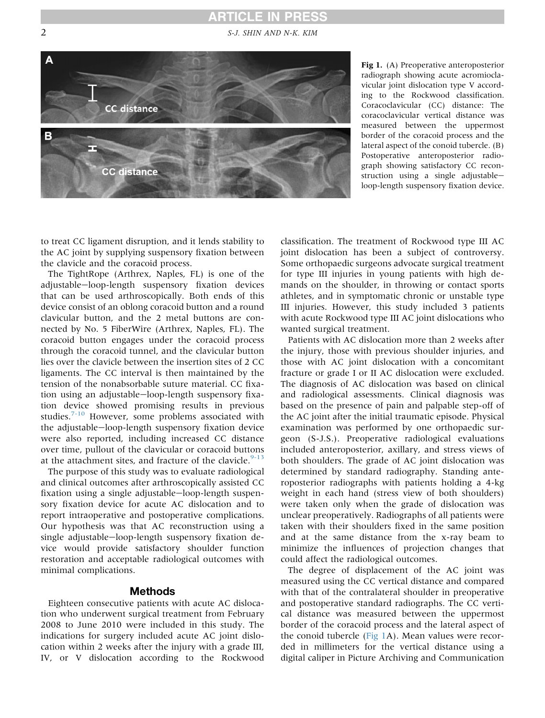# **ARTICLE IN PRESS**

<span id="page-1-0"></span>

Fig 1. (A) Preoperative anteroposterior radiograph showing acute acromioclavicular joint dislocation type V according to the Rockwood classification. Coracoclavicular (CC) distance: The coracoclavicular vertical distance was measured between the uppermost border of the coracoid process and the lateral aspect of the conoid tubercle. (B) Postoperative anteroposterior radiograph showing satisfactory CC reconstruction using a single adjustableloop-length suspensory fixation device.

to treat CC ligament disruption, and it lends stability to the AC joint by supplying suspensory fixation between the clavicle and the coracoid process.

The TightRope (Arthrex, Naples, FL) is one of the adjustable-loop-length suspensory fixation devices that can be used arthroscopically. Both ends of this device consist of an oblong coracoid button and a round clavicular button, and the 2 metal buttons are connected by No. 5 FiberWire (Arthrex, Naples, FL). The coracoid button engages under the coracoid process through the coracoid tunnel, and the clavicular button lies over the clavicle between the insertion sites of 2 CC ligaments. The CC interval is then maintained by the tension of the nonabsorbable suture material. CC fixation using an adjustable-loop-length suspensory fixation device showed promising results in previous studies.<sup>[7-10](#page-7-0)</sup> However, some problems associated with the adjustable-loop-length suspensory fixation device were also reported, including increased CC distance over time, pullout of the clavicular or coracoid buttons at the attachment sites, and fracture of the clavicle. $9-13$ 

The purpose of this study was to evaluate radiological and clinical outcomes after arthroscopically assisted CC fixation using a single adjustable-loop-length suspensory fixation device for acute AC dislocation and to report intraoperative and postoperative complications. Our hypothesis was that AC reconstruction using a single adjustable-loop-length suspensory fixation device would provide satisfactory shoulder function restoration and acceptable radiological outcomes with minimal complications.

#### Methods

Eighteen consecutive patients with acute AC dislocation who underwent surgical treatment from February 2008 to June 2010 were included in this study. The indications for surgery included acute AC joint dislocation within 2 weeks after the injury with a grade III, IV, or V dislocation according to the Rockwood

classification. The treatment of Rockwood type III AC joint dislocation has been a subject of controversy. Some orthopaedic surgeons advocate surgical treatment for type III injuries in young patients with high demands on the shoulder, in throwing or contact sports athletes, and in symptomatic chronic or unstable type III injuries. However, this study included 3 patients with acute Rockwood type III AC joint dislocations who wanted surgical treatment.

Patients with AC dislocation more than 2 weeks after the injury, those with previous shoulder injuries, and those with AC joint dislocation with a concomitant fracture or grade I or II AC dislocation were excluded. The diagnosis of AC dislocation was based on clinical and radiological assessments. Clinical diagnosis was based on the presence of pain and palpable step-off of the AC joint after the initial traumatic episode. Physical examination was performed by one orthopaedic surgeon (S-J.S.). Preoperative radiological evaluations included anteroposterior, axillary, and stress views of both shoulders. The grade of AC joint dislocation was determined by standard radiography. Standing anteroposterior radiographs with patients holding a 4-kg weight in each hand (stress view of both shoulders) were taken only when the grade of dislocation was unclear preoperatively. Radiographs of all patients were taken with their shoulders fixed in the same position and at the same distance from the x-ray beam to minimize the influences of projection changes that could affect the radiological outcomes.

The degree of displacement of the AC joint was measured using the CC vertical distance and compared with that of the contralateral shoulder in preoperative and postoperative standard radiographs. The CC vertical distance was measured between the uppermost border of the coracoid process and the lateral aspect of the conoid tubercle (Fig 1A). Mean values were recorded in millimeters for the vertical distance using a digital caliper in Picture Archiving and Communication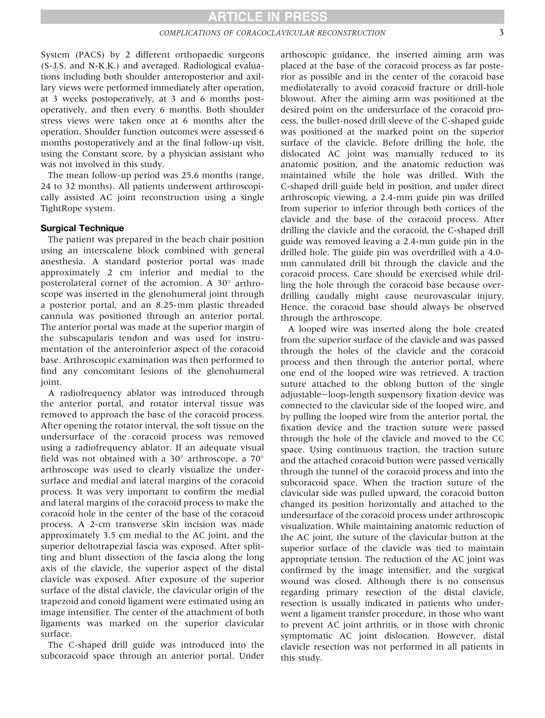System (PACS) by 2 different orthopaedic surgeons (S-J.S. and N-K.K.) and averaged. Radiological evaluations including both shoulder anteroposterior and axillary views were performed immediately after operation, at 3 weeks postoperatively, at 3 and 6 months postoperatively, and then every 6 months. Both shoulder stress views were taken once at 6 months after the operation. Shoulder function outcomes were assessed 6 months postoperatively and at the final follow-up visit, using the Constant score, by a physician assistant who was not involved in this study.

The mean follow-up period was 25.6 months (range, 24 to 32 months). All patients underwent arthroscopically assisted AC joint reconstruction using a single TightRope system.

#### Surgical Technique

The patient was prepared in the beach chair position using an interscalene block combined with general anesthesia. A standard posterior portal was made approximately 2 cm inferior and medial to the posterolateral corner of the acromion. A  $30^\circ$  arthroscope was inserted in the glenohumeral joint through a posterior portal, and an 8.25-mm plastic threaded cannula was positioned through an anterior portal. The anterior portal was made at the superior margin of the subscapularis tendon and was used for instrumentation of the anteroinferior aspect of the coracoid base. Arthroscopic examination was then performed to find any concomitant lesions of the glenohumeral joint.

A radiofrequency ablator was introduced through the anterior portal, and rotator interval tissue was removed to approach the base of the coracoid process. After opening the rotator interval, the soft tissue on the undersurface of the coracoid process was removed using a radiofrequency ablator. If an adequate visual field was not obtained with a 30 $^{\circ}$  arthroscope, a 70 $^{\circ}$ arthroscope was used to clearly visualize the undersurface and medial and lateral margins of the coracoid process. It was very important to confirm the medial and lateral margins of the coracoid process to make the coracoid hole in the center of the base of the coracoid process. A 2-cm transverse skin incision was made approximately 3.5 cm medial to the AC joint, and the superior deltotrapezial fascia was exposed. After splitting and blunt dissection of the fascia along the long axis of the clavicle, the superior aspect of the distal clavicle was exposed. After exposure of the superior surface of the distal clavicle, the clavicular origin of the trapezoid and conoid ligament were estimated using an image intensifier. The center of the attachment of both ligaments was marked on the superior clavicular surface.

The C-shaped drill guide was introduced into the subcoracoid space through an anterior portal. Under

arthoscopic guidance, the inserted aiming arm was placed at the base of the coracoid process as far posterior as possible and in the center of the coracoid base mediolaterally to avoid coracoid fracture or drill-hole blowout. After the aiming arm was positioned at the desired point on the undersurface of the coracoid process, the bullet-nosed drill sleeve of the C-shaped guide was positioned at the marked point on the superior surface of the clavicle. Before drilling the hole, the dislocated AC joint was manually reduced to its anatomic position, and the anatomic reduction was maintained while the hole was drilled. With the C-shaped drill guide held in position, and under direct arthroscopic viewing, a 2.4-mm guide pin was drilled from superior to inferior through both cortices of the clavicle and the base of the coracoid process. After drilling the clavicle and the coracoid, the C-shaped drill guide was removed leaving a 2.4-mm guide pin in the drilled hole. The guide pin was overdrilled with a 4.0 mm cannulated drill bit through the clavicle and the coracoid process. Care should be exercised while drilling the hole through the coracoid base because overdrilling caudally might cause neurovascular injury. Hence, the coracoid base should always be observed through the arthroscope.

A looped wire was inserted along the hole created from the superior surface of the clavicle and was passed through the holes of the clavicle and the coracoid process and then through the anterior portal, where one end of the looped wire was retrieved. A traction suture attached to the oblong button of the single adjustable-loop-length suspensory fixation device was connected to the clavicular side of the looped wire, and by pulling the looped wire from the anterior portal, the fixation device and the traction suture were passed through the hole of the clavicle and moved to the CC space. Using continuous traction, the traction suture and the attached coracoid button were passed vertically through the tunnel of the coracoid process and into the subcoracoid space. When the traction suture of the clavicular side was pulled upward, the coracoid button changed its position horizontally and attached to the undersurface of the coracoid process under arthroscopic visualization. While maintaining anatomic reduction of the AC joint, the suture of the clavicular button at the superior surface of the clavicle was tied to maintain appropriate tension. The reduction of the AC joint was confirmed by the image intensifier, and the surgical wound was closed. Although there is no consensus regarding primary resection of the distal clavicle, resection is usually indicated in patients who underwent a ligament transfer procedure, in those who want to prevent AC joint arthritis, or in those with chronic symptomatic AC joint dislocation. However, distal clavicle resection was not performed in all patients in this study.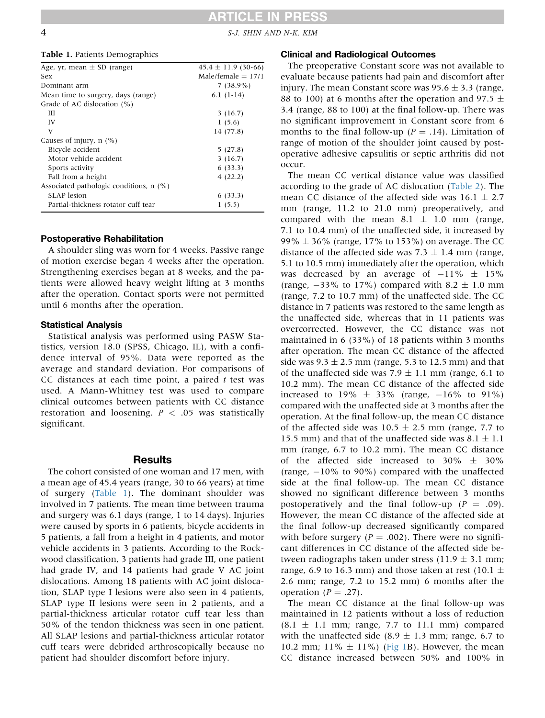4 S-J. SHIN AND N-K. KIM

#### Table 1. Patients Demographics

| Age, yr, mean $\pm$ SD (range)            | $45.4 \pm 11.9$ (30-66) |
|-------------------------------------------|-------------------------|
| Sex                                       | Male/female $= 17/1$    |
| Dominant arm                              | $7(38.9\%)$             |
| Mean time to surgery, days (range)        | $6.1(1-14)$             |
| Grade of AC dislocation $(\%)$            |                         |
| Ш                                         | 3(16.7)                 |
| IV                                        | 1(5.6)                  |
| V                                         | 14 (77.8)               |
| Causes of injury, $n$ (%)                 |                         |
| Bicycle accident                          | 5(27.8)                 |
| Motor vehicle accident                    | 3(16.7)                 |
| Sports activity                           | 6(33.3)                 |
| Fall from a height                        | 4(22.2)                 |
| Associated pathologic conditions, $n$ (%) |                         |
| SLAP lesion                               | 6(33.3)                 |
| Partial-thickness rotator cuff tear       | 1(5.5)                  |

#### Postoperative Rehabilitation

A shoulder sling was worn for 4 weeks. Passive range of motion exercise began 4 weeks after the operation. Strengthening exercises began at 8 weeks, and the patients were allowed heavy weight lifting at 3 months after the operation. Contact sports were not permitted until 6 months after the operation.

#### Statistical Analysis

Statistical analysis was performed using PASW Statistics, version 18.0 (SPSS, Chicago, IL), with a confidence interval of 95%. Data were reported as the average and standard deviation. For comparisons of CC distances at each time point, a paired  $t$  test was used. A Mann-Whitney test was used to compare clinical outcomes between patients with CC distance restoration and loosening.  $P < .05$  was statistically significant.

### **Results**

The cohort consisted of one woman and 17 men, with a mean age of 45.4 years (range, 30 to 66 years) at time of surgery (Table 1). The dominant shoulder was involved in 7 patients. The mean time between trauma and surgery was 6.1 days (range, 1 to 14 days). Injuries were caused by sports in 6 patients, bicycle accidents in 5 patients, a fall from a height in 4 patients, and motor vehicle accidents in 3 patients. According to the Rockwood classification, 3 patients had grade III, one patient had grade IV, and 14 patients had grade V AC joint dislocations. Among 18 patients with AC joint dislocation, SLAP type I lesions were also seen in 4 patients, SLAP type II lesions were seen in 2 patients, and a partial-thickness articular rotator cuff tear less than 50% of the tendon thickness was seen in one patient. All SLAP lesions and partial-thickness articular rotator cuff tears were debrided arthroscopically because no patient had shoulder discomfort before injury.

#### Clinical and Radiological Outcomes

The preoperative Constant score was not available to evaluate because patients had pain and discomfort after injury. The mean Constant score was  $95.6 \pm 3.3$  (range, 88 to 100) at 6 months after the operation and 97.5  $\pm$ 3.4 (range, 88 to 100) at the final follow-up. There was no significant improvement in Constant score from 6 months to the final follow-up ( $P = .14$ ). Limitation of range of motion of the shoulder joint caused by postoperative adhesive capsulitis or septic arthritis did not occur.

The mean CC vertical distance value was classified according to the grade of AC dislocation [\(Table 2](#page-4-0)). The mean CC distance of the affected side was  $16.1 \pm 2.7$ mm (range, 11.2 to 21.0 mm) preoperatively, and compared with the mean  $8.1 \pm 1.0$  mm (range, 7.1 to 10.4 mm) of the unaffected side, it increased by  $99\% \pm 36\%$  (range, 17% to 153%) on average. The CC distance of the affected side was  $7.3 \pm 1.4$  mm (range, 5.1 to 10.5 mm) immediately after the operation, which was decreased by an average of  $-11\% \pm 15\%$ (range,  $-33\%$  to 17%) compared with 8.2  $\pm$  1.0 mm (range, 7.2 to 10.7 mm) of the unaffected side. The CC distance in 7 patients was restored to the same length as the unaffected side, whereas that in 11 patients was overcorrected. However, the CC distance was not maintained in 6 (33%) of 18 patients within 3 months after operation. The mean CC distance of the affected side was  $9.3 \pm 2.5$  mm (range, 5.3 to 12.5 mm) and that of the unaffected side was  $7.9 \pm 1.1$  mm (range, 6.1 to 10.2 mm). The mean CC distance of the affected side increased to 19%  $\pm$  33% (range,  $-16\%$  to 91%) compared with the unaffected side at 3 months after the operation. At the final follow-up, the mean CC distance of the affected side was  $10.5 \pm 2.5$  mm (range, 7.7 to 15.5 mm) and that of the unaffected side was  $8.1 \pm 1.1$ mm (range, 6.7 to 10.2 mm). The mean CC distance of the affected side increased to  $30\% \pm 30\%$ (range,  $-10\%$  to 90%) compared with the unaffected side at the final follow-up. The mean CC distance showed no significant difference between 3 months postoperatively and the final follow-up  $(P = .09)$ . However, the mean CC distance of the affected side at the final follow-up decreased significantly compared with before surgery ( $P = .002$ ). There were no significant differences in CC distance of the affected side between radiographs taken under stress (11.9  $\pm$  3.1 mm; range, 6.9 to 16.3 mm) and those taken at rest (10.1  $\pm$ 2.6 mm; range, 7.2 to 15.2 mm) 6 months after the operation ( $P = .27$ ).

The mean CC distance at the final follow-up was maintained in 12 patients without a loss of reduction  $(8.1 \pm 1.1 \text{ mm})$ ; range, 7.7 to 11.1 mm) compared with the unaffected side (8.9  $\pm$  1.3 mm; range, 6.7 to 10.2 mm; 11%  $\pm$  11%) [\(Fig 1B](#page-1-0)). However, the mean CC distance increased between 50% and 100% in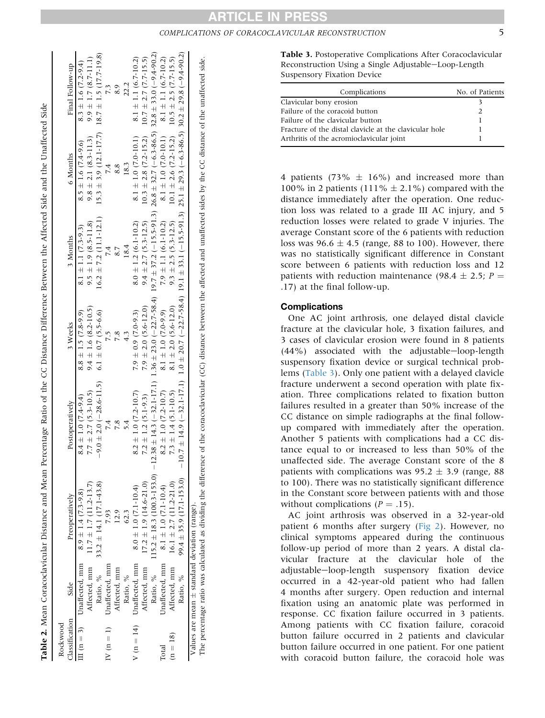<span id="page-4-0"></span>

|                       |                            |                                               | Table 2. Mean Coracoclavicular Distance and Mean Percentage Ratio of the CC Distance Difference Between the Affected Side and the Unaffected Side |                            |                            |                                                     |                                                       |
|-----------------------|----------------------------|-----------------------------------------------|---------------------------------------------------------------------------------------------------------------------------------------------------|----------------------------|----------------------------|-----------------------------------------------------|-------------------------------------------------------|
| Rockwood              |                            |                                               |                                                                                                                                                   |                            |                            |                                                     |                                                       |
| <b>Classification</b> | Side                       | Preoperatively                                | Postoperatively                                                                                                                                   | 3 Weeks                    | 3 Months                   | 6 Months                                            | Final Follow-up                                       |
|                       |                            | II (n = 3) Unaffected, mm 8.9 ± 1.4 (7.3-9.8) | $8.4 \pm 1.0 (7.4 - 9.4)$                                                                                                                         | $8.8 \pm 1.5$ (7.8-9.9)    | $8.1 \pm 1.1 (7.3-9.3)$    | $8.5 \pm 1.6$ (7.4-9.6)                             | $8.3 \pm 1.6$ (7.2-9.4)                               |
|                       |                            | Affected, mm $11.7 \pm 1.7 (11.2 - 13.7)$     | $7.7 \pm 2.7$ (5.3-10.5)                                                                                                                          | $9.4 \pm 1.6 (8.2 - 10.5)$ | $9.5 \pm 1.9$ (8.5-11.8)   | $9.8 \pm 2.1 (8.3 - 11.3)$                          | $9.9 \pm 1.7$ (8.7-11.1)                              |
|                       | Ratio, %                   | $33.2 \pm 14.1 (17.1 - 43.8)$                 | $-9.0 \pm 2.0$ ( $-28.6 - 11.5$ ) $6.1 \pm 0.7$ (5.5-6.6)                                                                                         |                            | $16.2 \pm 7.2$ (11.1-12.1) |                                                     | $15.3 \pm 3.9$ (12.1-17.7) $18.7 \pm 1.5$ (17.7-19.8) |
| $N(n=1)$              | Unaffected, mm             | 7.93                                          |                                                                                                                                                   | 7.5                        |                            |                                                     | 7.3                                                   |
|                       | Affected, mm               | 12.9                                          | 7.8                                                                                                                                               | 7.8                        |                            |                                                     | 8.9                                                   |
|                       | Ratio, %                   | 62.3                                          |                                                                                                                                                   | $\frac{1}{4}$              | 18.4                       | 18.3                                                | 22.2                                                  |
|                       | $V(n = 14)$ Unaffected, mm | $8.0 \pm 1.0$ (7.1-10.4)                      | $8.2 \pm 1.0$ (7.2-10.7)                                                                                                                          | $7.9 \pm 0.9$ (7.0-9.3)    | $8.0 \pm 1.2$ (6.1-10.2)   | $8.1 \pm 1.0$ (7.0-10.1)                            | 8.1 $\pm$ 1.1 (6.7-10.2)                              |
|                       | Affected, mm               | $17.2 \pm 1.9$ (14.6-21.0)                    | $7.2 \pm 1.2$ (5.1-9.3)                                                                                                                           | $7.9 \pm 2.0 (5.6 - 12.0)$ | $9.4 \pm 2.7$ (5.3-12.5)   | $10.3 \pm 2.8$ (7.2-15.2) $10.7 \pm 2.7$ (7.7-15.5) |                                                       |

Table 2. Mean Coracoclavicular Distance and Mean Percentage Ratio of the CC Distance Difference Between the Affected Side and the Unaffected Side

The percentage ratio was calculated as dividing the difference of the coracoclavicular (CC) distance between the affected and unaffected sides by the CC distance of the unaffected side. The percentage ratio was calculated as dividing the difference of the coracoclavicular (CC) distance between the affected and unaffected sides by the CC distance of the unaffected side standard deviation (range). Values are mean  $\pm$  standard deviation (range) Values are mean

Ratio, % 115.2

Unaffected, mm 8.1

Unaffected, mm Affected, mm Ratio, %

Affected, mm 16.1

Ratio, % 99.4

Ratio, %

Total  $\Xi$  $(8)$ 

 $^+$ 

 $\pm$  18.3 (100.3-153.0)

 $8.1 \pm 1.0$  (7.1-10.4)

 $16.1 \pm 2.7 (11.2 - 21.0)$ 

 $99.4 \pm 35.9$  (17.1-153.0)  $\pm$  35.9 (17.1-153.0)

10.7

 $+ 14.9$  (

32.1-17.1) 1.0

 $+ 20.7$  (

22.7-58.4) 19.1

33.1 (

15.5-91.3) 25.1

29.3 (

 $-6.3 - 86.5)$  30.2

29.8 (

 $-9.4 - 90.2$ 

 $\pm$  2.7 (11.2-21.0) 7.3

 $\pm$  1.0 (7.1-10.4) 8.2

 $-12.38 \pm 14.3$ 

 $8.2 \pm 1.0$  (7.2-10.7)

 $7.3 \pm 1.4$  (5.1-10.5)

 $\pm$  1.4 (5.1-10.5) 8.1

 $\pm$  1.0 (7.2-10.7) 8.1

32.1-17.1) 1.36

 $+ 23.0$  (

8.1  $\pm$  1.0 (7.0-9.9)

8.1  $\pm$  2.0 (5.6-12.0)

 $\pm 2.0$  (5.6-12.0) 9.3

 $1.0$  (7.0-9.9)  $7.9$ 

22.7-58.4) 19.7

37.2 (

7.9  $\pm$  1.1 (6.1-10.2)

 $9.3 \pm 2.5$  (5.3-12.5)

 $\pm$  2.5 (5.3-12.5) 10.1

 $\pm$  1.1 (6.1-10.2) 8.1

 $-15.5-91.3)$  26.8

32.7 (

8.1  $\pm$  1.0 (7.0-10.1)  $1.0$  (7.0-10.1)  $8.1$ 

 $10.1 \pm 2.6$  (7.2-15.2)

 $\pm 2.6$  (7.2-15.2) 10.5

6.3-86.5) 32.8

33.0 (

8.1  $\pm$  1.1 (6.7-10.2)  $\pm$  1.1 (6.7-10.2)

 $10.5 \pm 2.5$  (7.7-15.5)  $\pm$  2.5 (7.7-15.5)

 $-9.4 - 90.2$ 

Table 3. Postoperative Complications After Coracoclavicular Reconstruction Using a Single Adjustable-Loop-Length Suspensory Fixation Device

| Complications                                          | No. of Patients |
|--------------------------------------------------------|-----------------|
| Clavicular bony erosion                                |                 |
| Failure of the coracoid button                         | $\mathcal{L}$   |
| Failure of the clavicular button                       |                 |
| Fracture of the distal clavicle at the clavicular hole |                 |
| Arthritis of the acromioclavicular joint               |                 |

4 patients (73%  $\pm$  16%) and increased more than 100% in 2 patients (111%  $\pm$  2.1%) compared with the distance immediately after the operation. One reduction loss was related to a grade III AC injury, and 5 reduction losses were related to grade V injuries. The average Constant score of the 6 patients with reduction loss was  $96.6 \pm 4.5$  (range, 88 to 100). However, there was no statistically significant difference in Constant score between 6 patients with reduction loss and 12 patients with reduction maintenance (98.4  $\pm$  2.5; P = .17) at the final follow-up.

#### **Complications**

One AC joint arthrosis, one delayed distal clavicle fracture at the clavicular hole, 3 fixation failures, and 3 cases of clavicular erosion were found in 8 patients  $(44\%)$  associated with the adjustable-loop-length suspensory fixation device or surgical technical problems (Table 3). Only one patient with a delayed clavicle fracture underwent a second operation with plate fixation. Three complications related to fixation button failures resulted in a greater than 50% increase of the CC distance on simple radiographs at the final followup compared with immediately after the operation. Another 5 patients with complications had a CC distance equal to or increased to less than 50% of the unaffected side. The average Constant score of the 8 patients with complications was  $95.2 \pm 3.9$  (range, 88) to 100). There was no statistically significant difference in the Constant score between patients with and those without complications  $(P = .15)$ .

AC joint arthrosis was observed in a 32-year-old patient 6 months after surgery [\(Fig 2](#page-5-0)). However, no clinical symptoms appeared during the continuous follow-up period of more than 2 years. A distal clavicular fracture at the clavicular hole of the adjustable-loop-length suspensory fixation device occurred in a 42-year-old patient who had fallen 4 months after surgery. Open reduction and internal fixation using an anatomic plate was performed in response. CC fixation failure occurred in 3 patients. Among patients with CC fixation failure, coracoid button failure occurred in 2 patients and clavicular button failure occurred in one patient. For one patient with coracoid button failure, the coracoid hole was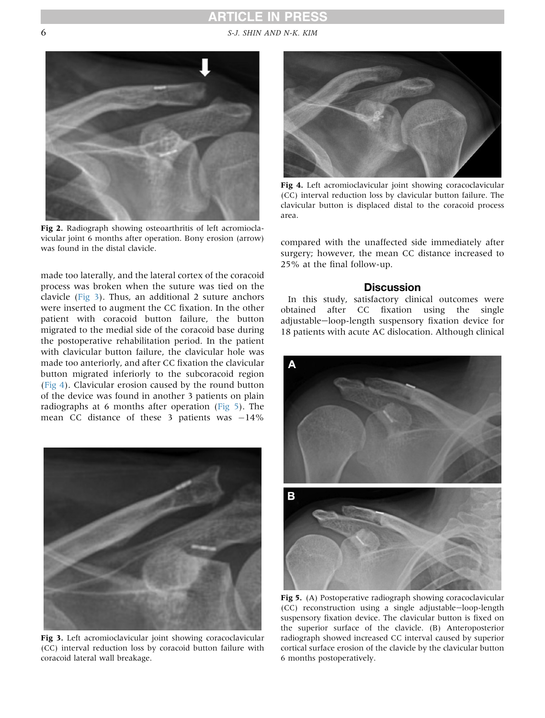# **ARTICLE IN PRESS**

<span id="page-5-0"></span>6 S-J. SHIN AND N-K. KIM



Fig 2. Radiograph showing osteoarthritis of left acromioclavicular joint 6 months after operation. Bony erosion (arrow) was found in the distal clavicle.

made too laterally, and the lateral cortex of the coracoid process was broken when the suture was tied on the clavicle (Fig 3). Thus, an additional 2 suture anchors were inserted to augment the CC fixation. In the other patient with coracoid button failure, the button migrated to the medial side of the coracoid base during the postoperative rehabilitation period. In the patient with clavicular button failure, the clavicular hole was made too anteriorly, and after CC fixation the clavicular button migrated inferiorly to the subcoracoid region (Fig 4). Clavicular erosion caused by the round button of the device was found in another 3 patients on plain radiographs at 6 months after operation (Fig 5). The mean CC distance of these 3 patients was  $-14\%$ 



Fig 3. Left acromioclavicular joint showing coracoclavicular (CC) interval reduction loss by coracoid button failure with coracoid lateral wall breakage.



Fig 4. Left acromioclavicular joint showing coracoclavicular (CC) interval reduction loss by clavicular button failure. The clavicular button is displaced distal to the coracoid process area.

compared with the unaffected side immediately after surgery; however, the mean CC distance increased to 25% at the final follow-up.

## **Discussion**

In this study, satisfactory clinical outcomes were obtained after CC fixation using the single adjustable-loop-length suspensory fixation device for 18 patients with acute AC dislocation. Although clinical



Fig 5. (A) Postoperative radiograph showing coracoclavicular  $(CC)$  reconstruction using a single adjustable-loop-length suspensory fixation device. The clavicular button is fixed on the superior surface of the clavicle. (B) Anteroposterior radiograph showed increased CC interval caused by superior cortical surface erosion of the clavicle by the clavicular button 6 months postoperatively.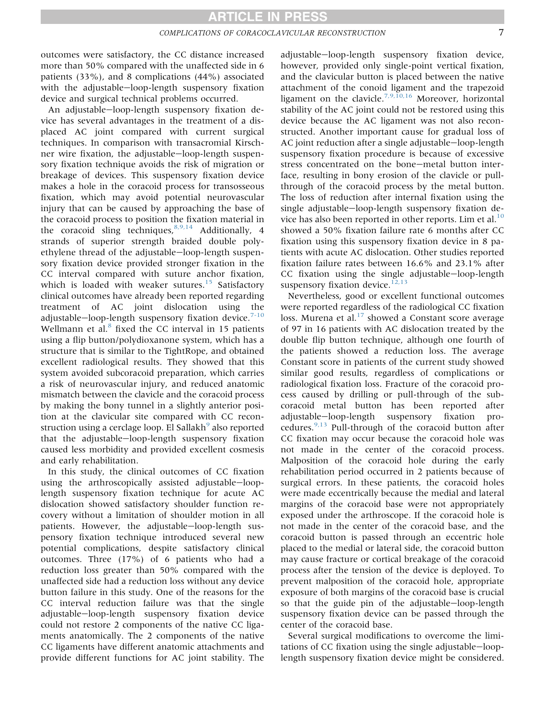outcomes were satisfactory, the CC distance increased more than 50% compared with the unaffected side in 6 patients (33%), and 8 complications (44%) associated with the adjustable-loop-length suspensory fixation device and surgical technical problems occurred.

An adjustable-loop-length suspensory fixation device has several advantages in the treatment of a displaced AC joint compared with current surgical techniques. In comparison with transacromial Kirschner wire fixation, the adjustable-loop-length suspensory fixation technique avoids the risk of migration or breakage of devices. This suspensory fixation device makes a hole in the coracoid process for transosseous fixation, which may avoid potential neurovascular injury that can be caused by approaching the base of the coracoid process to position the fixation material in the coracoid sling techniques,  $8,9,14$  Additionally, 4 strands of superior strength braided double polyethylene thread of the adjustable-loop-length suspensory fixation device provided stronger fixation in the CC interval compared with suture anchor fixation, which is loaded with weaker sutures. $15$  Satisfactory clinical outcomes have already been reported regarding treatment of AC joint dislocation using the adjustable-loop-length suspensory fixation device.<sup>[7-10](#page-7-0)</sup> Wellmann et al. $8$  fixed the CC interval in 15 patients using a flip button/polydioxanone system, which has a structure that is similar to the TightRope, and obtained excellent radiological results. They showed that this system avoided subcoracoid preparation, which carries a risk of neurovascular injury, and reduced anatomic mismatch between the clavicle and the coracoid process by making the bony tunnel in a slightly anterior position at the clavicular site compared with CC recon-struction using a cerclage loop. El Sallakh<sup>[9](#page-7-0)</sup> also reported that the adjustable-loop-length suspensory fixation caused less morbidity and provided excellent cosmesis and early rehabilitation.

In this study, the clinical outcomes of CC fixation using the arthroscopically assisted adjustable-looplength suspensory fixation technique for acute AC dislocation showed satisfactory shoulder function recovery without a limitation of shoulder motion in all patients. However, the adjustable-loop-length suspensory fixation technique introduced several new potential complications, despite satisfactory clinical outcomes. Three (17%) of 6 patients who had a reduction loss greater than 50% compared with the unaffected side had a reduction loss without any device button failure in this study. One of the reasons for the CC interval reduction failure was that the single adjustable-loop-length suspensory fixation device could not restore 2 components of the native CC ligaments anatomically. The 2 components of the native CC ligaments have different anatomic attachments and provide different functions for AC joint stability. The

adjustable-loop-length suspensory fixation device, however, provided only single-point vertical fixation, and the clavicular button is placed between the native attachment of the conoid ligament and the trapezoid ligament on the clavicle.<sup>[7,9,10,16](#page-7-0)</sup> Moreover, horizontal stability of the AC joint could not be restored using this device because the AC ligament was not also reconstructed. Another important cause for gradual loss of AC joint reduction after a single adjustable-loop-length suspensory fixation procedure is because of excessive stress concentrated on the bone-metal button interface, resulting in bony erosion of the clavicle or pullthrough of the coracoid process by the metal button. The loss of reduction after internal fixation using the single adjustable-loop-length suspensory fixation de-vice has also been reported in other reports. Lim et al.<sup>[10](#page-8-0)</sup> showed a 50% fixation failure rate 6 months after CC fixation using this suspensory fixation device in 8 patients with acute AC dislocation. Other studies reported fixation failure rates between 16.6% and 23.1% after  $CC$  fixation using the single adjustable-loop-length suspensory fixation device.<sup>[12,13](#page-8-0)</sup>

Nevertheless, good or excellent functional outcomes were reported regardless of the radiological CC fixation loss. Murena et al.<sup>[17](#page-8-0)</sup> showed a Constant score average of 97 in 16 patients with AC dislocation treated by the double flip button technique, although one fourth of the patients showed a reduction loss. The average Constant score in patients of the current study showed similar good results, regardless of complications or radiological fixation loss. Fracture of the coracoid process caused by drilling or pull-through of the subcoracoid metal button has been reported after adjustable-loop-length suspensory fixation procedures.[9,13](#page-7-0) Pull-through of the coracoid button after CC fixation may occur because the coracoid hole was not made in the center of the coracoid process. Malposition of the coracoid hole during the early rehabilitation period occurred in 2 patients because of surgical errors. In these patients, the coracoid holes were made eccentrically because the medial and lateral margins of the coracoid base were not appropriately exposed under the arthroscope. If the coracoid hole is not made in the center of the coracoid base, and the coracoid button is passed through an eccentric hole placed to the medial or lateral side, the coracoid button may cause fracture or cortical breakage of the coracoid process after the tension of the device is deployed. To prevent malposition of the coracoid hole, appropriate exposure of both margins of the coracoid base is crucial so that the guide pin of the adjustable-loop-length suspensory fixation device can be passed through the center of the coracoid base.

Several surgical modifications to overcome the limitations of CC fixation using the single adjustable-looplength suspensory fixation device might be considered.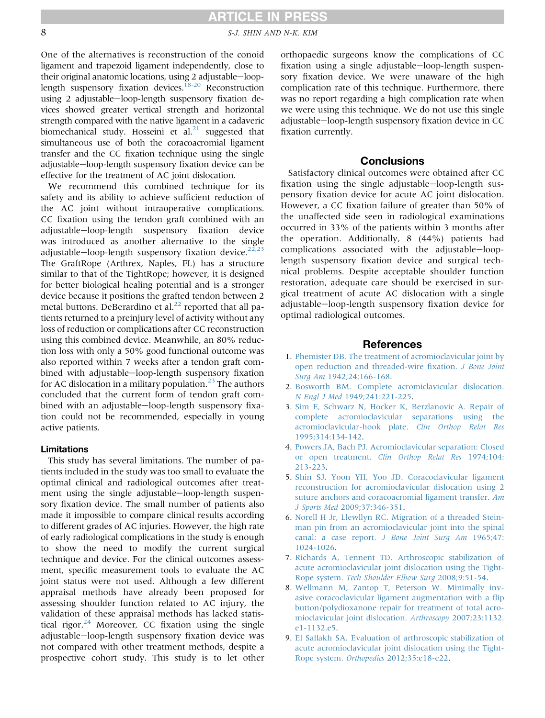# **ARTICLE IN PRESS**

<span id="page-7-0"></span>8 S-J. SHIN AND N-K. KIM

One of the alternatives is reconstruction of the conoid ligament and trapezoid ligament independently, close to their original anatomic locations, using 2 adjustable-looplength suspensory fixation devices.<sup>18-20</sup> Reconstruction using 2 adjustable-loop-length suspensory fixation devices showed greater vertical strength and horizontal strength compared with the native ligament in a cadaveric biomechanical study. Hosseini et al. $^{21}$  $^{21}$  $^{21}$  suggested that simultaneous use of both the coracoacromial ligament transfer and the CC fixation technique using the single adjustable-loop-length suspensory fixation device can be effective for the treatment of AC joint dislocation.

We recommend this combined technique for its safety and its ability to achieve sufficient reduction of the AC joint without intraoperative complications. CC fixation using the tendon graft combined with an adjustable-loop-length suspensory fixation device was introduced as another alternative to the single adjustable-loop-length suspensory fixation device.<sup>[22,23](#page-8-0)</sup> The GraftRope (Arthrex, Naples, FL) has a structure similar to that of the TightRope; however, it is designed for better biological healing potential and is a stronger device because it positions the grafted tendon between 2 metal buttons. DeBerardino et al. $^{22}$  $^{22}$  $^{22}$  reported that all patients returned to a preinjury level of activity without any loss of reduction or complications after CC reconstruction using this combined device. Meanwhile, an 80% reduction loss with only a 50% good functional outcome was also reported within 7 weeks after a tendon graft combined with adjustable-loop-length suspensory fixation for AC dislocation in a military population.<sup>23</sup> The authors concluded that the current form of tendon graft combined with an adjustable-loop-length suspensory fixation could not be recommended, especially in young active patients.

#### Limitations

This study has several limitations. The number of patients included in the study was too small to evaluate the optimal clinical and radiological outcomes after treatment using the single adjustable-loop-length suspensory fixation device. The small number of patients also made it impossible to compare clinical results according to different grades of AC injuries. However, the high rate of early radiological complications in the study is enough to show the need to modify the current surgical technique and device. For the clinical outcomes assessment, specific measurement tools to evaluate the AC joint status were not used. Although a few different appraisal methods have already been proposed for assessing shoulder function related to AC injury, the validation of these appraisal methods has lacked statistical rigor. $24$  Moreover, CC fixation using the single adjustable-loop-length suspensory fixation device was not compared with other treatment methods, despite a prospective cohort study. This study is to let other

orthopaedic surgeons know the complications of CC fixation using a single adjustable-loop-length suspensory fixation device. We were unaware of the high complication rate of this technique. Furthermore, there was no report regarding a high complication rate when we were using this technique. We do not use this single adjustable-loop-length suspensory fixation device in CC fixation currently.

## **Conclusions**

Satisfactory clinical outcomes were obtained after CC fixation using the single adjustable-loop-length suspensory fixation device for acute AC joint dislocation. However, a CC fixation failure of greater than 50% of the unaffected side seen in radiological examinations occurred in 33% of the patients within 3 months after the operation. Additionally, 8 (44%) patients had complications associated with the adjustable-looplength suspensory fixation device and surgical technical problems. Despite acceptable shoulder function restoration, adequate care should be exercised in surgical treatment of acute AC dislocation with a single adjustable-loop-length suspensory fixation device for optimal radiological outcomes.

### References

- 1. [Phemister DB. The treatment of acromioclavicular joint by](http://refhub.elsevier.com/S0749-8063(14)00906-2/sref1) [open reduction and threaded-wire](http://refhub.elsevier.com/S0749-8063(14)00906-2/sref1) fixation. J Bone Joint Surg Am [1942;24:166-168.](http://refhub.elsevier.com/S0749-8063(14)00906-2/sref1)
- 2. [Bosworth BM. Complete acromiclavicular dislocation.](http://refhub.elsevier.com/S0749-8063(14)00906-2/sref2) N Engl J Med [1949;241:221-225](http://refhub.elsevier.com/S0749-8063(14)00906-2/sref2).
- 3. [Sim E, Schwarz N, Hocker K, Berzlanovic A. Repair of](http://refhub.elsevier.com/S0749-8063(14)00906-2/sref3) [complete acromioclavicular separations using the](http://refhub.elsevier.com/S0749-8063(14)00906-2/sref3) [acromioclavicular-hook plate.](http://refhub.elsevier.com/S0749-8063(14)00906-2/sref3) Clin Orthop Relat Res [1995;314:134-142](http://refhub.elsevier.com/S0749-8063(14)00906-2/sref3).
- 4. [Powers JA, Bach PJ. Acromioclavicular separation: Closed](http://refhub.elsevier.com/S0749-8063(14)00906-2/sref4) or open treatment. [Clin Orthop Relat Res](http://refhub.elsevier.com/S0749-8063(14)00906-2/sref4) 1974;104: [213-223.](http://refhub.elsevier.com/S0749-8063(14)00906-2/sref4)
- 5. [Shin SJ, Yoon YH, Yoo JD. Coracoclavicular ligament](http://refhub.elsevier.com/S0749-8063(14)00906-2/sref5) [reconstruction for acromioclavicular dislocation using 2](http://refhub.elsevier.com/S0749-8063(14)00906-2/sref5) [suture anchors and coracoacromial ligament transfer.](http://refhub.elsevier.com/S0749-8063(14)00906-2/sref5) Am J Sports Med [2009;37:346-351](http://refhub.elsevier.com/S0749-8063(14)00906-2/sref5).
- 6. [Norell H Jr, Llewllyn RC. Migration of a threaded Stein](http://refhub.elsevier.com/S0749-8063(14)00906-2/sref6)[man pin from an acromioclavicular joint into the spinal](http://refhub.elsevier.com/S0749-8063(14)00906-2/sref6) canal: a case report. [J Bone Joint Surg Am](http://refhub.elsevier.com/S0749-8063(14)00906-2/sref6) 1965;47: [1024-1026.](http://refhub.elsevier.com/S0749-8063(14)00906-2/sref6)
- 7. [Richards A, Tennent TD. Arthroscopic stabilization of](http://refhub.elsevier.com/S0749-8063(14)00906-2/sref7) [acute acromioclavicular joint dislocation using the Tight-](http://refhub.elsevier.com/S0749-8063(14)00906-2/sref7)Rope system. [Tech Shoulder Elbow Surg](http://refhub.elsevier.com/S0749-8063(14)00906-2/sref7) 2008;9:51-54.
- 8. [Wellmann M, Zantop T, Peterson W. Minimally inv](http://refhub.elsevier.com/S0749-8063(14)00906-2/sref8)[asive coracoclavicular ligament augmentation with a](http://refhub.elsevier.com/S0749-8063(14)00906-2/sref8) flip [button/polydioxanone repair for treatment of total acro](http://refhub.elsevier.com/S0749-8063(14)00906-2/sref8)[mioclavicular joint dislocation.](http://refhub.elsevier.com/S0749-8063(14)00906-2/sref8) Arthroscopy 2007;23:1132. [e1-1132.e5](http://refhub.elsevier.com/S0749-8063(14)00906-2/sref8).
- 9. [El Sallakh SA. Evaluation of arthroscopic stabilization of](http://refhub.elsevier.com/S0749-8063(14)00906-2/sref9) [acute acromioclavicular joint dislocation using the Tight-](http://refhub.elsevier.com/S0749-8063(14)00906-2/sref9)Rope system. Orthopedics [2012;35:e18-e22.](http://refhub.elsevier.com/S0749-8063(14)00906-2/sref9)